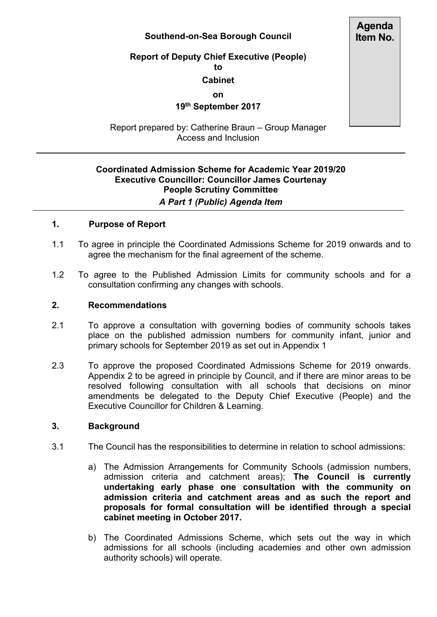# **Southend-on-Sea Borough Council**

#### **Report of Deputy Chief Executive (People) to**

### **Cabinet**

**on**

# **19th September 2017**

Report prepared by: Catherine Braun – Group Manager Access and Inclusion

# **Coordinated Admission Scheme for Academic Year 2019/20 Executive Councillor: Councillor James Courtenay People Scrutiny Committee** *A Part 1 (Public) Agenda Item*

### **1. Purpose of Report**

- 1.1 To agree in principle the Coordinated Admissions Scheme for 2019 onwards and to agree the mechanism for the final agreement of the scheme.
- 1.2 To agree to the Published Admission Limits for community schools and for a consultation confirming any changes with schools.

#### **2. Recommendations**

- 2.1 To approve a consultation with governing bodies of community schools takes place on the published admission numbers for community infant, junior and primary schools for September 2019 as set out in Appendix 1
- 2.3 To approve the proposed Coordinated Admissions Scheme for 2019 onwards. Appendix 2 to be agreed in principle by Council, and if there are minor areas to be resolved following consultation with all schools that decisions on minor amendments be delegated to the Deputy Chief Executive (People) and the Executive Councillor for Children & Learning.

#### **3. Background**

- 3.1 The Council has the responsibilities to determine in relation to school admissions:
	- a) The Admission Arrangements for Community Schools (admission numbers, admission criteria and catchment areas); **The Council is currently undertaking early phase one consultation with the community on admission criteria and catchment areas and as such the report and proposals for formal consultation will be identified through a special cabinet meeting in October 2017.**
	- b) The Coordinated Admissions Scheme, which sets out the way in which admissions for all schools (including academies and other own admission authority schools) will operate.

**Agenda Item No.**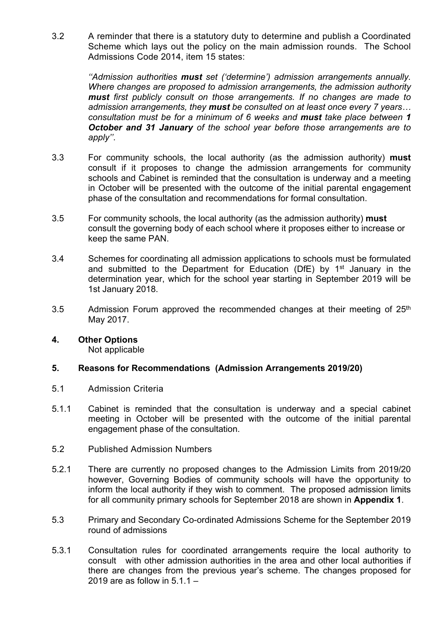3.2 A reminder that there is a statutory duty to determine and publish a Coordinated Scheme which lays out the policy on the main admission rounds. The School Admissions Code 2014, item 15 states:

> *''Admission authorities must set ('determine') admission arrangements annually. Where changes are proposed to admission arrangements, the admission authority must first publicly consult on those arrangements. If no changes are made to admission arrangements, they must be consulted on at least once every 7 years… consultation must be for a minimum of 6 weeks and must take place between 1 October and 31 January of the school year before those arrangements are to apply''*.

- 3.3 For community schools, the local authority (as the admission authority) **must** consult if it proposes to change the admission arrangements for community schools and Cabinet is reminded that the consultation is underway and a meeting in October will be presented with the outcome of the initial parental engagement phase of the consultation and recommendations for formal consultation.
- 3.5 For community schools, the local authority (as the admission authority) **must** consult the governing body of each school where it proposes either to increase or keep the same PAN.
- 3.4 Schemes for coordinating all admission applications to schools must be formulated and submitted to the Department for Education (DfE) by 1<sup>st</sup> January in the determination year, which for the school year starting in September 2019 will be 1st January 2018.
- 3.5 Admission Forum approved the recommended changes at their meeting of 25<sup>th</sup> May 2017.

# **4. Other Options**

Not applicable

# **5. Reasons for Recommendations (Admission Arrangements 2019/20)**

- 5.1 Admission Criteria
- 5.1.1 Cabinet is reminded that the consultation is underway and a special cabinet meeting in October will be presented with the outcome of the initial parental engagement phase of the consultation.
- 5.2 Published Admission Numbers
- 5.2.1 There are currently no proposed changes to the Admission Limits from 2019/20 however, Governing Bodies of community schools will have the opportunity to inform the local authority if they wish to comment. The proposed admission limits for all community primary schools for September 2018 are shown in **Appendix 1**.
- 5.3 Primary and Secondary Co-ordinated Admissions Scheme for the September 2019 round of admissions
- 5.3.1 Consultation rules for coordinated arrangements require the local authority to consult with other admission authorities in the area and other local authorities if there are changes from the previous year's scheme. The changes proposed for 2019 are as follow in 5.1.1 –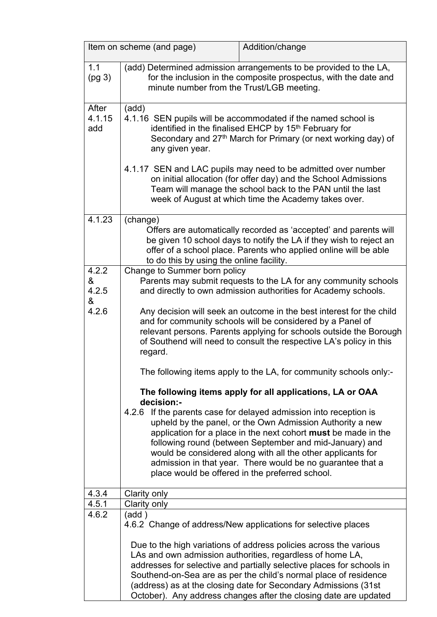| Item on scheme (and page) |                                                                                                                                                                                                                                                                                            | Addition/change                                                                                                                                                                                                                                                                                                                                                                                                                                                                                    |
|---------------------------|--------------------------------------------------------------------------------------------------------------------------------------------------------------------------------------------------------------------------------------------------------------------------------------------|----------------------------------------------------------------------------------------------------------------------------------------------------------------------------------------------------------------------------------------------------------------------------------------------------------------------------------------------------------------------------------------------------------------------------------------------------------------------------------------------------|
| 1.1<br>(pg <sub>3</sub> ) | (add) Determined admission arrangements to be provided to the LA,<br>for the inclusion in the composite prospectus, with the date and<br>minute number from the Trust/LGB meeting.                                                                                                         |                                                                                                                                                                                                                                                                                                                                                                                                                                                                                                    |
| After<br>4.1.15<br>add    | (add)<br>4.1.16 SEN pupils will be accommodated if the named school is<br>identified in the finalised EHCP by 15 <sup>th</sup> February for<br>Secondary and 27 <sup>th</sup> March for Primary (or next working day) of<br>any given year.                                                |                                                                                                                                                                                                                                                                                                                                                                                                                                                                                                    |
|                           | 4.1.17 SEN and LAC pupils may need to be admitted over number<br>on initial allocation (for offer day) and the School Admissions<br>Team will manage the school back to the PAN until the last<br>week of August at which time the Academy takes over.                                     |                                                                                                                                                                                                                                                                                                                                                                                                                                                                                                    |
| 4.1.23                    | (change)<br>Offers are automatically recorded as 'accepted' and parents will<br>be given 10 school days to notify the LA if they wish to reject an<br>offer of a school place. Parents who applied online will be able<br>to do this by using the online facility.                         |                                                                                                                                                                                                                                                                                                                                                                                                                                                                                                    |
| 4.2.2<br>&<br>4.2.5<br>&  | Change to Summer born policy<br>Parents may submit requests to the LA for any community schools<br>and directly to own admission authorities for Academy schools.                                                                                                                          |                                                                                                                                                                                                                                                                                                                                                                                                                                                                                                    |
| 4.2.6                     | Any decision will seek an outcome in the best interest for the child<br>and for community schools will be considered by a Panel of<br>relevant persons. Parents applying for schools outside the Borough<br>of Southend will need to consult the respective LA's policy in this<br>regard. |                                                                                                                                                                                                                                                                                                                                                                                                                                                                                                    |
|                           |                                                                                                                                                                                                                                                                                            | The following items apply to the LA, for community schools only:-                                                                                                                                                                                                                                                                                                                                                                                                                                  |
|                           | decision:-<br>4.2.6                                                                                                                                                                                                                                                                        | The following items apply for all applications, LA or OAA<br>If the parents case for delayed admission into reception is<br>upheld by the panel, or the Own Admission Authority a new<br>application for a place in the next cohort must be made in the<br>following round (between September and mid-January) and<br>would be considered along with all the other applicants for<br>admission in that year. There would be no guarantee that a<br>place would be offered in the preferred school. |
| 4.3.4                     | Clarity only                                                                                                                                                                                                                                                                               |                                                                                                                                                                                                                                                                                                                                                                                                                                                                                                    |
| 4.5.1<br>4.6.2            | Clarity only<br>(add)                                                                                                                                                                                                                                                                      | 4.6.2 Change of address/New applications for selective places<br>Due to the high variations of address policies across the various<br>LAs and own admission authorities, regardless of home LA,<br>addresses for selective and partially selective places for schools in<br>Southend-on-Sea are as per the child's normal place of residence                                                                                                                                                       |
|                           |                                                                                                                                                                                                                                                                                            | (address) as at the closing date for Secondary Admissions (31st<br>October). Any address changes after the closing date are updated                                                                                                                                                                                                                                                                                                                                                                |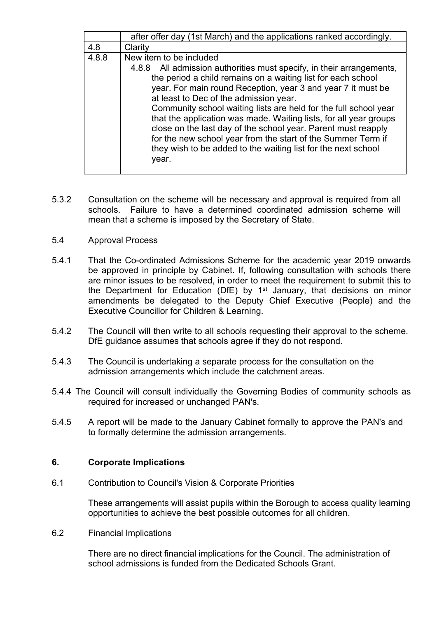|       | after offer day (1st March) and the applications ranked accordingly.                                                                                                                                                                                                                                                                                                                                                                                                                                                                                                                                                             |  |
|-------|----------------------------------------------------------------------------------------------------------------------------------------------------------------------------------------------------------------------------------------------------------------------------------------------------------------------------------------------------------------------------------------------------------------------------------------------------------------------------------------------------------------------------------------------------------------------------------------------------------------------------------|--|
| 4.8   | Clarity                                                                                                                                                                                                                                                                                                                                                                                                                                                                                                                                                                                                                          |  |
| 4.8.8 | New item to be included<br>All admission authorities must specify, in their arrangements,<br>4.8.8<br>the period a child remains on a waiting list for each school<br>year. For main round Reception, year 3 and year 7 it must be<br>at least to Dec of the admission year.<br>Community school waiting lists are held for the full school year<br>that the application was made. Waiting lists, for all year groups<br>close on the last day of the school year. Parent must reapply<br>for the new school year from the start of the Summer Term if<br>they wish to be added to the waiting list for the next school<br>year. |  |

- 5.3.2 Consultation on the scheme will be necessary and approval is required from all schools. Failure to have a determined coordinated admission scheme will mean that a scheme is imposed by the Secretary of State.
- 5.4 Approval Process
- 5.4.1 That the Co-ordinated Admissions Scheme for the academic year 2019 onwards be approved in principle by Cabinet. If, following consultation with schools there are minor issues to be resolved, in order to meet the requirement to submit this to the Department for Education (DfE) by 1<sup>st</sup> January, that decisions on minor amendments be delegated to the Deputy Chief Executive (People) and the Executive Councillor for Children & Learning.
- 5.4.2 The Council will then write to all schools requesting their approval to the scheme. DfE guidance assumes that schools agree if they do not respond.
- 5.4.3 The Council is undertaking a separate process for the consultation on the admission arrangements which include the catchment areas.
- 5.4.4 The Council will consult individually the Governing Bodies of community schools as required for increased or unchanged PAN's.
- 5.4.5 A report will be made to the January Cabinet formally to approve the PAN's and to formally determine the admission arrangements.

# **6. Corporate Implications**

6.1 Contribution to Council's Vision & Corporate Priorities

These arrangements will assist pupils within the Borough to access quality learning opportunities to achieve the best possible outcomes for all children.

6.2 Financial Implications

There are no direct financial implications for the Council. The administration of school admissions is funded from the Dedicated Schools Grant.